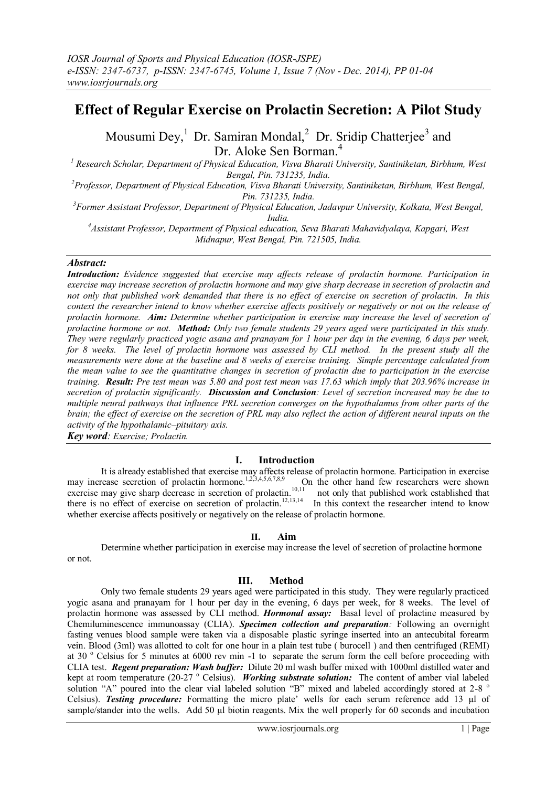# **Effect of Regular Exercise on Prolactin Secretion: A Pilot Study**

Mousumi Dey,<sup>1</sup> Dr. Samiran Mondal,<sup>2</sup> Dr. Sridip Chatterjee<sup>3</sup> and Dr. Aloke Sen Borman. 4

*<sup>1</sup> Research Scholar, Department of Physical Education, Visva Bharati University, Santiniketan, Birbhum, West Bengal, Pin. 731235, India.* 

*<sup>2</sup>Professor, Department of Physical Education, Visva Bharati University, Santiniketan, Birbhum, West Bengal, Pin. 731235, India.* 

*<sup>3</sup>Former Assistant Professor, Department of Physical Education, Jadavpur University, Kolkata, West Bengal, India.* 

*<sup>4</sup>Assistant Professor, Department of Physical education, Seva Bharati Mahavidyalaya, Kapgari, West Midnapur, West Bengal, Pin. 721505, India.*

## *Abstract:*

*Introduction: Evidence suggested that exercise may affects release of prolactin hormone. Participation in exercise may increase secretion of prolactin hormone and may give sharp decrease in secretion of prolactin and not only that published work demanded that there is no effect of exercise on secretion of prolactin. In this context the researcher intend to know whether exercise affects positively or negatively or not on the release of prolactin hormone. Aim: Determine whether participation in exercise may increase the level of secretion of prolactine hormone or not. Method: Only two female students 29 years aged were participated in this study. They were regularly practiced yogic asana and pranayam for 1 hour per day in the evening, 6 days per week, for 8 weeks. The level of prolactin hormone was assessed by CLI method. In the present study all the measurements were done at the baseline and 8 weeks of exercise training. Simple percentage calculated from the mean value to see the quantitative changes in secretion of prolactin due to participation in the exercise training. Result: Pre test mean was 5.80 and post test mean was 17.63 which imply that 203.96% increase in secretion of prolactin significantly. Discussion and Conclusion: Level of secretion increased may be due to multiple neural pathways that influence PRL secretion converges on the hypothalamus from other parts of the brain; the effect of exercise on the secretion of PRL may also reflect the action of different neural inputs on the activity of the hypothalamic–pituitary axis.* 

*Key word: Exercise; Prolactin.*

#### **I. Introduction**

It is already established that exercise may affects release of prolactin hormone. Participation in exercise may increase secretion of prolactin hormone.<sup>1,2,3,4,5,6,7,8,9</sup> On the other hand few researchers were shown exercise may give sharp decrease in secretion of prolactin.<sup>10,11</sup> not only that published work established that there is no effect of exercise on secretion of prolactin.<sup>12,13,14</sup> In this context the researcher intend to know whether exercise affects positively or negatively on the release of prolactin hormone.

### **II. Aim**

Determine whether participation in exercise may increase the level of secretion of prolactine hormone or not.

#### **III. Method**

Only two female students 29 years aged were participated in this study. They were regularly practiced yogic asana and pranayam for 1 hour per day in the evening, 6 days per week, for 8 weeks. The level of prolactin hormone was assessed by CLI method. *Hormonal assay:* Basal level of prolactine measured by Chemiluminescence immunoassay (CLIA). *Specimen collection and preparation:* Following an overnight fasting venues blood sample were taken via a disposable plastic syringe inserted into an antecubital forearm vein. Blood (3ml) was allotted to colt for one hour in a plain test tube ( burocell ) and then centrifuged (REMI) at 30 ° Celsius for 5 minutes at 6000 rev min -1 to separate the serum form the cell before proceeding with CLIA test. *Regent preparation: Wash buffer:* Dilute 20 ml wash buffer mixed with 1000ml distilled water and kept at room temperature (20-27 ° Celsius). *Working substrate solution*: The content of amber vial labeled solution "A" poured into the clear vial labeled solution "B" mixed and labeled accordingly stored at 2-8  $\degree$ Celsius). *Testing procedure:* Formatting the micro plate" wells for each serum reference add 13 µl of sample/stander into the wells. Add 50 µl biotin reagents. Mix the well properly for 60 seconds and incubation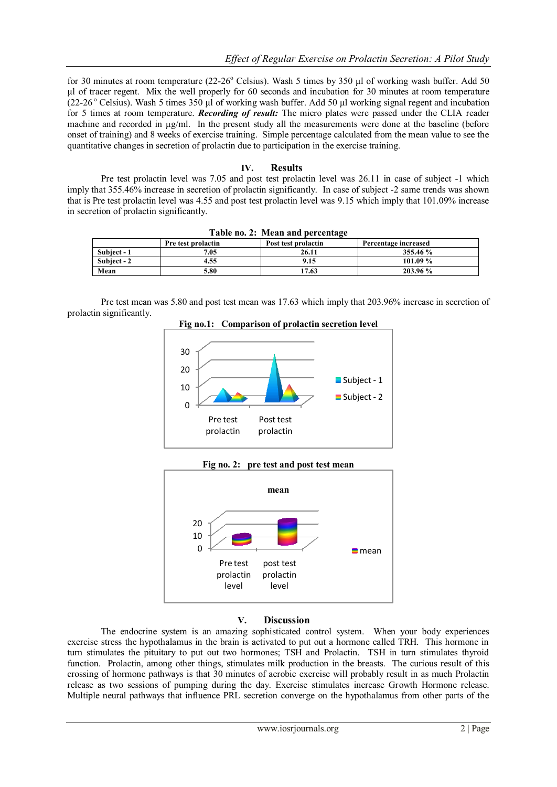for 30 minutes at room temperature ( $22-26^{\circ}$  Celsius). Wash 5 times by 350 µl of working wash buffer. Add 50 µl of tracer regent. Mix the well properly for 60 seconds and incubation for 30 minutes at room temperature (22-26<sup>°</sup> Celsius). Wash 5 times 350 µl of working wash buffer. Add 50 µl working signal regent and incubation for 5 times at room temperature. *Recording of result:* The micro plates were passed under the CLIA reader machine and recorded in µg/ml. In the present study all the measurements were done at the baseline (before onset of training) and 8 weeks of exercise training. Simple percentage calculated from the mean value to see the quantitative changes in secretion of prolactin due to participation in the exercise training.

## **IV. Results**

Pre test prolactin level was 7.05 and post test prolactin level was 26.11 in case of subject -1 which imply that 355.46% increase in secretion of prolactin significantly. In case of subject -2 same trends was shown that is Pre test prolactin level was 4.55 and post test prolactin level was 9.15 which imply that 101.09% increase in secretion of prolactin significantly.

| Table no. 2. Mean and percentage |                           |                     |                      |  |  |  |  |  |  |
|----------------------------------|---------------------------|---------------------|----------------------|--|--|--|--|--|--|
|                                  | <b>Pre test prolactin</b> | Post test prolactin | Percentage increased |  |  |  |  |  |  |
| Subject - 1                      | 7.05                      | 26.11               | 355.46 %             |  |  |  |  |  |  |
| Subject - 2                      | 4.55                      | 9.15                | $101.09\%$           |  |  |  |  |  |  |
| Mean                             | 5.80                      | 17.63               | 203.96 %             |  |  |  |  |  |  |

**Table no. 2: Mean and percentage**

Pre test mean was 5.80 and post test mean was 17.63 which imply that 203.96% increase in secretion of prolactin significantly.







## **V. Discussion**

The endocrine system is an amazing sophisticated control system. When your body experiences exercise stress the hypothalamus in the brain is activated to put out a hormone called TRH. This hormone in turn stimulates the pituitary to put out two hormones; TSH and Prolactin. TSH in turn stimulates thyroid function. Prolactin, among other things, stimulates milk production in the breasts. The curious result of this crossing of hormone pathways is that 30 minutes of aerobic exercise will probably result in as much Prolactin release as two sessions of pumping during the day. Exercise stimulates increase Growth Hormone release. Multiple neural pathways that influence PRL secretion converge on the hypothalamus from other parts of the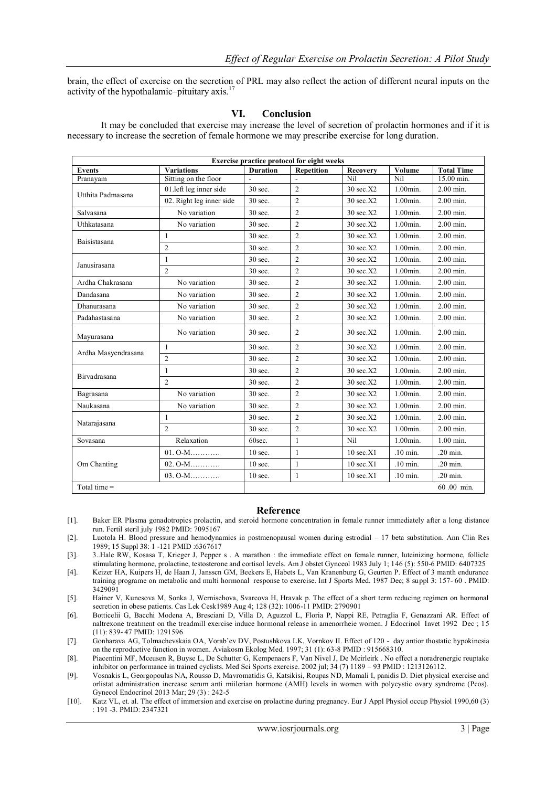brain, the effect of exercise on the secretion of PRL may also reflect the action of different neural inputs on the activity of the hypothalamic–pituitary axis. $17$ 

#### **VI. Conclusion**

It may be concluded that exercise may increase the level of secretion of prolactin hormones and if it is necessary to increase the secretion of female hormone we may prescribe exercise for long duration.

| Exercise practice protocol for eight weeks |                          |                 |                |                         |                    |                   |  |  |
|--------------------------------------------|--------------------------|-----------------|----------------|-------------------------|--------------------|-------------------|--|--|
| <b>Events</b>                              | <b>Variations</b>        | <b>Duration</b> | Repetition     | <b>Recovery</b>         | <b>Volume</b>      | <b>Total Time</b> |  |  |
| Pranayam                                   | Sitting on the floor     |                 |                | Nil                     | Nil                | 15.00 min.        |  |  |
| Utthita Padmasana                          | 01.left leg inner side   | 30 sec.         | 2              | 30 sec.X2               | $1.00$ min.        | 2.00 min.         |  |  |
|                                            | 02. Right leg inner side | 30 sec.         | $\overline{2}$ | 30 sec.X2               | $1.00$ min.        | 2.00 min.         |  |  |
| Salvasana                                  | No variation             | $30$ sec.       | 2              | 30 sec.X2               | $1.00$ min.        | $2.00$ min.       |  |  |
| Uthkatasana                                | No variation             | $30$ sec.       | 2              | 30 sec.X2               | $1.00$ min.        | $2.00$ min.       |  |  |
| Baisistasana                               | $\mathbf{1}$             | 30 sec.         | $\overline{2}$ | 30 sec.X2               | $1.00$ min.        | 2.00 min.         |  |  |
|                                            | 2                        | 30 sec.         | $\overline{2}$ | 30 sec.X2               | $1.00$ min.        | 2.00 min.         |  |  |
| Janusirasana                               | $\mathbf{1}$             | $30$ sec.       | $\overline{2}$ | 30 sec.X2               | $1.00$ min.        | 2.00 min.         |  |  |
|                                            | $\overline{c}$           | 30 sec.         | $\overline{2}$ | 30 sec.X2               | $1.00$ min.        | 2.00 min.         |  |  |
| Ardha Chakrasana                           | No variation             | 30 sec.         | $\overline{2}$ | $30 \text{ sec}$ . $X2$ | $1.00$ min.        | 2.00 min.         |  |  |
| Dandasana                                  | No variation             | 30 sec.         | $\overline{2}$ | 30 sec.X2               | $1.00$ min.        | $2.00$ min.       |  |  |
| Dhanurasana                                | No variation             | $30$ sec.       | $\overline{c}$ | 30 sec.X2               | $1.00$ min.        | $2.00$ min.       |  |  |
| Padahastasana                              | No variation             | $30$ sec.       | $\overline{2}$ | 30 sec.X2               | $1.00$ min.        | 2.00 min.         |  |  |
| Mayurasana                                 | No variation             | 30 sec.         | $\overline{2}$ | $30 \text{ sec}$ . $X2$ | $1.00$ min.        | $2.00$ min.       |  |  |
|                                            | 1                        | $30$ sec.       | $\overline{2}$ | 30 sec.X2               | $1.00$ min.        | $2.00$ min.       |  |  |
| Ardha Masyendrasana                        | $\overline{c}$           | 30 sec.         | $\overline{2}$ | 30 sec.X2               | $1.00$ min.        | 2.00 min.         |  |  |
| Birvadrasana                               | $\mathbf{1}$             | 30 sec.         | $\overline{2}$ | 30 sec.X2               | $1.00$ min.        | 2.00 min.         |  |  |
|                                            | $\overline{c}$           | 30 sec.         | $\overline{2}$ | 30 sec.X2               | $1.00$ min.        | 2.00 min.         |  |  |
| Bagrasana                                  | No variation             | 30 sec.         | $\overline{2}$ | 30 sec.X2               | $1.00$ min.        | 2.00 min.         |  |  |
| Naukasana                                  | No variation             | 30 sec.         | $\overline{2}$ | $30 \text{ sec}$ . $X2$ | $1.00$ min.        | $2.00$ min.       |  |  |
| Natarajasana                               | 1                        | 30 sec.         | $\overline{2}$ | 30 sec.X2               | $1.00$ min.        | 2.00 min.         |  |  |
|                                            | $\overline{c}$           | 30 sec.         | $\overline{c}$ | 30 sec.X2               | $1.00$ min.        | 2.00 min.         |  |  |
| Sovasana                                   | Relaxation               | 60sec.          | $\mathbf{1}$   | Nil                     | $1.00$ min.        | $1.00$ min.       |  |  |
|                                            | $01. O-M$                | $10$ sec.       | $\mathbf{1}$   | $10 \text{ sec}$ . $X1$ | $.10$ min.         | .20 min.          |  |  |
| Om Chanting                                | $02. O-M$                | $10$ sec.       | $\mathbf{1}$   | $10 \text{ sec}$ . $X1$ | $.10$ min.         | .20 min.          |  |  |
|                                            | $03.$ O-M                | 10 sec.         | $\mathbf{1}$   | $10 \text{ sec}$ . $X1$ | $.10 \text{ min.}$ | $20 \text{ min}$  |  |  |
| Total time $=$                             |                          |                 |                |                         |                    | 60.00 min.        |  |  |

#### **Reference**

- [1]. Baker ER Plasma gonadotropics prolactin, and steroid hormone concentration in female runner immediately after a long distance run. Fertil steril july 1982 PMID: 7095167
- [2]. Luotola H. Blood pressure and hemodynamics in postmenopausal women during estrodial 17 beta substitution. Ann Clin Res 1989; 15 Suppl 38: 1 -121 PMID :6367617
- [3]. 3..Hale RW, Kosasa T, Krieger J, Pepper s . A marathon : the immediate effect on female runner, luteinizing hormone, follicle stimulating hormone, prolactine, testosterone and cortisol levels. Am J obstet Gynceol 1983 July 1; 146 (5): 550-6 PMID: 6407325
- [4]. Keizer HA, Kuipers H, de Haan J, Jansscn GM, Beekers E, Habets L, Van Kranenburg G, Geurten P. Effect of 3 manth endurance training programe on metabolic and multi hormonal response to exercise. Int J Sports Med. 1987 Dec; 8 suppl 3: 157- 60 . PMID: 3429091
- [5]. Hainer V, Kunesova M, Sonka J, Wernisehova, Svarcova H, Hravak p. The effect of a short term reducing regimen on hormonal secretion in obese patients. Cas Lek Cesk1989 Aug 4; 128 (32): 1006-11 PMID: 2790901
- [6]. Botticelii G, Bacchi Modena A, Bresciani D, Villa D, Aguzzol L, Floria P, Nappi RE, Petraglia F, Genazzani AR. Effect of naltrexone treatment on the treadmill exercise induce hormonal release in amenorrheie women. J Edocrinol Invet 1992 Dec ; 15 (11): 839- 47 PMID: 1291596
- [7]. Gonharava AG, Tolmachevskaia OA, Vorab"ev DV, Postushkova LK, Vornkov II. Effect of 120 day antior thostatic hypokinesia on the reproductive function in women. Aviakosm Ekolog Med. 1997; 31 (1): 63-8 PMID : 915668310.
- [8]. Piacentini MF, Mceusen R, Buyse L, De Schutter G, Kempenaers F, Van Nivel J, De Mcirleirk . No effect a noradrenergic reuptake inhibitor on performance in trained cyclists. Med Sci Sports exercise. 2002 jul; 34 (7) 1189 – 93 PMID : 1213126112.
- [9]. Vosnakis L, Georgopoulas NA, Rousso D, Mavromatidis G, Katsikisi, Roupas ND, Mamali I, panidis D. Diet physical exercise and orlistat administration increase serum anti miilerian hormone (AMH) levels in women with polycystic ovary syndrome (Pcos). Gynecol Endocrinol 2013 Mar; 29 (3) : 242-5
- [10]. Katz VL, et. al. The effect of immersion and exercise on prolactine during pregnancy. Eur J Appl Physiol occup Physiol 1990,60 (3) : 191 -3. PMID: 2347321